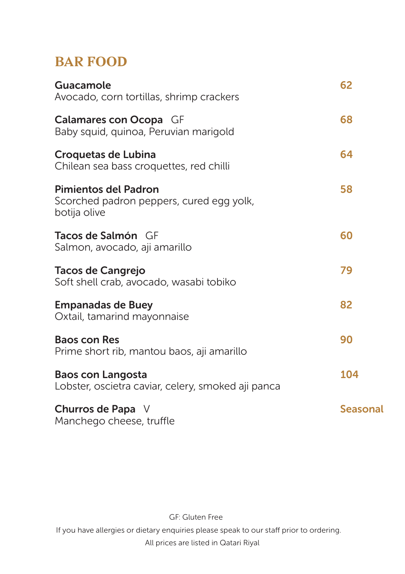#### **BAR FOOD**

| Guacamole<br>Avocado, corn tortillas, shrimp crackers                            | 62       |
|----------------------------------------------------------------------------------|----------|
| Calamares con Ocopa GF<br>Baby squid, quinoa, Peruvian marigold                  | 68       |
| <b>Croquetas de Lubina</b><br>Chilean sea bass croquettes, red chilli            | 64       |
| Pimientos del Padron<br>Scorched padron peppers, cured egg yolk,<br>botija olive | 58       |
| <b>Tacos de Salmón</b> GF<br>Salmon, avocado, aji amarillo                       | 60       |
| Tacos de Cangrejo<br>Soft shell crab, avocado, wasabi tobiko                     | 79       |
| <b>Empanadas de Buey</b><br>Oxtail, tamarind mayonnaise                          | 82       |
| <b>Baos con Res</b><br>Prime short rib, mantou baos, aji amarillo                | 90       |
| <b>Baos con Langosta</b><br>Lobster, oscietra caviar, celery, smoked aji panca   | 104      |
| Churros de Papa V<br>Manchego cheese, truffle                                    | Seasonal |

GF: Gluten Free

If you have allergies or dietary enquiries please speak to our staff prior to ordering.

All prices are listed in Qatari Riyal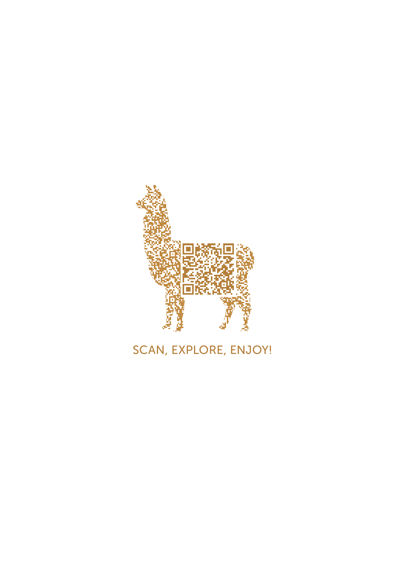

# SCAN, EXPLORE, ENJOY!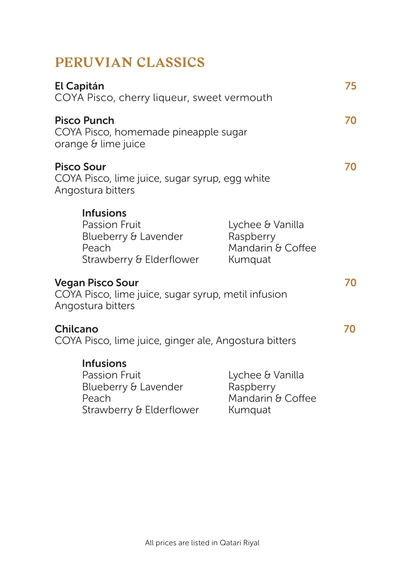## **PERUVIAN CLASSICS**

| El Capitán                                                                                            |                                                               | 75                                                                                                                                                                                                                                                   |
|-------------------------------------------------------------------------------------------------------|---------------------------------------------------------------|------------------------------------------------------------------------------------------------------------------------------------------------------------------------------------------------------------------------------------------------------|
| <b>Pisco Punch</b><br>orange & lime juice                                                             |                                                               | 70                                                                                                                                                                                                                                                   |
| <b>Pisco Sour</b><br>Angostura bitters                                                                |                                                               | 70                                                                                                                                                                                                                                                   |
| <b>Infusions</b><br><b>Passion Fruit</b><br>Blueberry & Lavender<br>Peach<br>Strawberry & Elderflower | Lychee & Vanilla<br>Raspberry<br>Mandarin & Coffee<br>Kumquat |                                                                                                                                                                                                                                                      |
| <b>Vegan Pisco Sour</b><br>Angostura bitters                                                          |                                                               | 70                                                                                                                                                                                                                                                   |
| Chilcano                                                                                              |                                                               | 70                                                                                                                                                                                                                                                   |
| <b>Infusions</b><br><b>Passion Fruit</b><br>Blueberry & Lavender<br>Peach<br>Strawberry & Elderflower | Lychee & Vanilla<br>Raspberry<br>Mandarin & Coffee<br>Kumquat |                                                                                                                                                                                                                                                      |
|                                                                                                       |                                                               | COYA Pisco, cherry liqueur, sweet vermouth<br>COYA Pisco, homemade pineapple sugar<br>COYA Pisco, lime juice, sugar syrup, egg white<br>COYA Pisco, lime juice, sugar syrup, metil infusion<br>COYA Pisco, lime juice, ginger ale, Angostura bitters |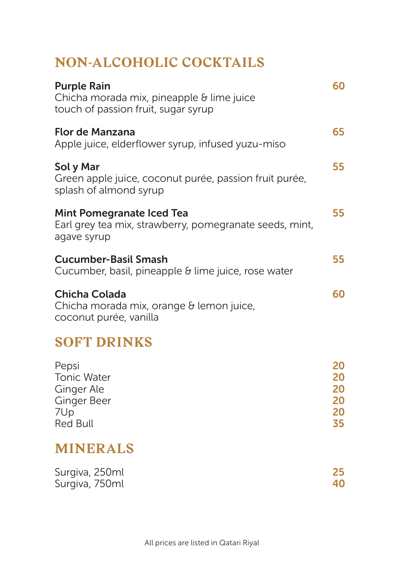## **NON-ALCOHOLIC COCKTAILS**

| <b>Purple Rain</b><br>Chicha morada mix, pineapple & lime juice<br>touch of passion fruit, sugar syrup     | 60  |
|------------------------------------------------------------------------------------------------------------|-----|
| <b>Flor de Manzana</b><br>Apple juice, elderflower syrup, infused yuzu-miso                                | 65  |
| Sol y Mar<br>Green apple juice, coconut purée, passion fruit purée,<br>splash of almond syrup              | 55  |
| <b>Mint Pomegranate Iced Tea</b><br>Earl grey tea mix, strawberry, pomegranate seeds, mint,<br>agave syrup | 55. |
| Cucumber-Basil Smash<br>Cucumber, basil, pineapple & lime juice, rose water                                | 55. |
| <b>Chicha Colada</b><br>Chicha morada mix, orange & lemon juice,<br>coconut purée, vanilla                 | 60  |
| <b>SOFT DRINKS</b>                                                                                         |     |

| 20 |
|----|
| 20 |
| 20 |
| 20 |
| 20 |
| 35 |
|    |

#### **MINERALS**

| Surgiva, 250ml | 25 |
|----------------|----|
| Surgiva, 750ml | 40 |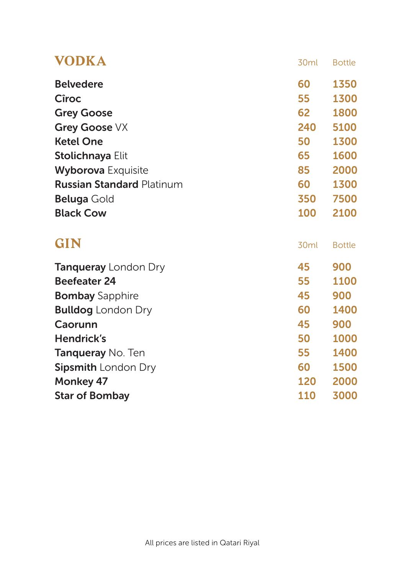| <b>VODKA</b>                     | 30ml             | <b>Bottle</b> |
|----------------------------------|------------------|---------------|
| <b>Belvedere</b>                 | 60               | 1350          |
| Cîroc                            | 55               | 1300          |
| <b>Grey Goose</b>                | 62               | 1800          |
| Grey Goose VX                    | 240              | 5100          |
| <b>Ketel One</b>                 | 50               | 1300          |
| Stolichnaya Elit                 | 65               | 1600          |
| <b>Wyborova</b> Exquisite        | 85               | 2000          |
| <b>Russian Standard Platinum</b> | 60               | 1300          |
| <b>Beluga</b> Gold               | 350              | 7500          |
| <b>Black Cow</b>                 | 100              | 2100          |
| GIN                              | 30 <sub>ml</sub> | <b>Bottle</b> |
| <b>Tanqueray</b> London Dry      | 45               | 900           |
| <b>Beefeater 24</b>              | 55               | 1100          |
| <b>Bombay Sapphire</b>           | 45               | 900           |
| <b>Bulldog</b> London Dry        | 60               | 1400          |
| Caorunn                          | 45               | 900           |
| <b>Hendrick's</b>                | 50               | 1000          |
| <b>Tanqueray No. Ten</b>         | 55               | 1400          |
| <b>Sipsmith London Dry</b>       | 60               | 1500          |
| <b>Monkey 47</b>                 | 120              | 2000          |
| <b>Star of Bombay</b>            | 110              | 3000          |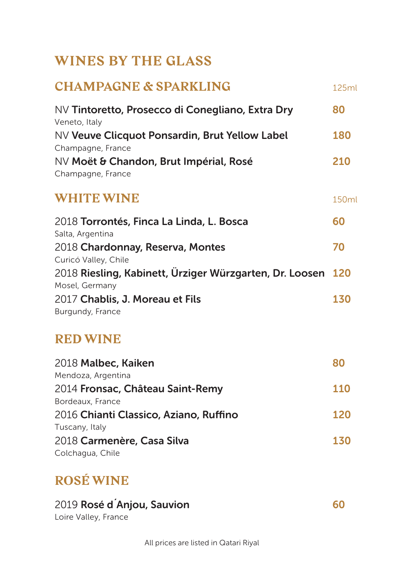#### **WINES BY THE GLASS**

| <b>CHAMPAGNE &amp; SPARKLING</b>                                          | 125ml |
|---------------------------------------------------------------------------|-------|
| NV Tintoretto, Prosecco di Conegliano, Extra Dry<br>Veneto, Italy         | 80    |
| NV Veuve Clicquot Ponsardin, Brut Yellow Label<br>Champagne, France       | 180   |
| NV Moët & Chandon, Brut Impérial, Rosé<br>Champagne, France               | 210   |
| <b>WHITE WINE</b>                                                         | 150ml |
| 2018 Torrontés, Finca La Linda, L. Bosca<br>Salta, Argentina              | 60    |
| 2018 Chardonnay, Reserva, Montes<br>Curicó Valley, Chile                  | 70    |
| 2018 Riesling, Kabinett, Ürziger Würzgarten, Dr. Loosen<br>Mosel, Germany | 120   |
| 2017 Chablis, J. Moreau et Fils<br>Burgundy, France                       | 130   |
| <b>RED WINE</b>                                                           |       |
| 2018 Malbec, Kaiken<br>Mendoza, Argentina                                 | 80    |
| 2014 Fronsac, Château Saint-Remy<br>Bordeaux, France                      | 110   |
| 2016 Chianti Classico, Aziano, Ruffino<br>Tuscany, Italy                  | 120   |
| 2018 Carmenère, Casa Silva<br>Colchagua, Chile                            | 130   |

## **ROSÉ WINE**

| 2019 Rosé d'Anjou, Sauvion | 60 |
|----------------------------|----|
| Loire Valley, France       |    |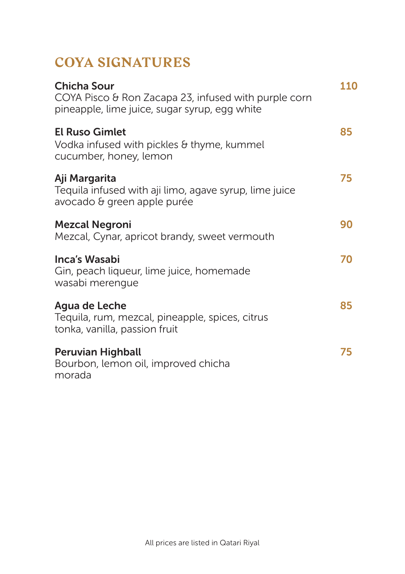## **COYA SIGNATURES**

| Chicha Sour<br>COYA Pisco & Ron Zacapa 23, infused with purple corn<br>pineapple, lime juice, sugar syrup, egg white | 110 |
|----------------------------------------------------------------------------------------------------------------------|-----|
| <b>El Ruso Gimlet</b><br>Vodka infused with pickles & thyme, kummel<br>cucumber, honey, lemon                        | 85  |
| Aji Margarita<br>Tequila infused with aji limo, agave syrup, lime juice<br>avocado & green apple purée               | 75  |
| <b>Mezcal Negroni</b><br>Mezcal, Cynar, apricot brandy, sweet vermouth                                               | 90  |
| Inca's Wasabi<br>Gin, peach liqueur, lime juice, homemade<br>wasabi merengue                                         | 70  |
| Agua de Leche<br>Tequila, rum, mezcal, pineapple, spices, citrus<br>tonka, vanilla, passion fruit                    | 85  |
| <b>Peruvian Highball</b><br>Bourbon, lemon oil, improved chicha<br>morada                                            | 75  |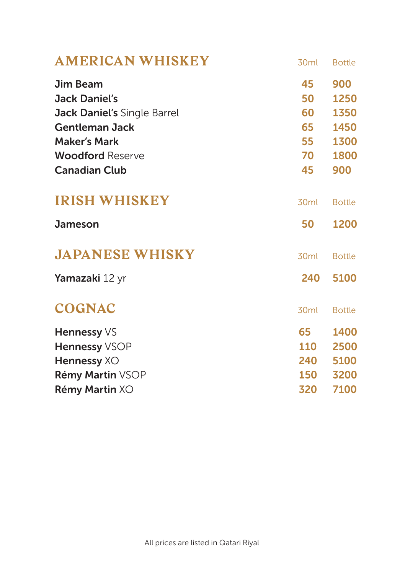| <b>AMERICAN WHISKEY</b>            | 30 <sub>ml</sub> | <b>Bottle</b> |
|------------------------------------|------------------|---------------|
| Jim Beam                           | 45               | 900           |
| <b>Jack Daniel's</b>               | 50               | 1250          |
| <b>Jack Daniel's Single Barrel</b> | 60 -             | 1350          |
| <b>Gentleman Jack</b>              | 65               | 1450          |
| <b>Maker's Mark</b>                | 55               | 1300          |
| <b>Woodford Reserve</b>            | 70               | 1800          |
| <b>Canadian Club</b>               | 45               | 900           |
| <b>IRISH WHISKEY</b>               | 30 <sub>ml</sub> | <b>Bottle</b> |
| Jameson                            | 50               | 1200          |
| <b>JAPANESE WHISKY</b>             | 30 <sub>ml</sub> | <b>Bottle</b> |
| Yamazaki 12 yr                     | 240              | 5100          |
| <b>COGNAC</b>                      | 30 <sub>ml</sub> | <b>Bottle</b> |
| Hennessy VS                        | 65               | 1400          |
| Hennessy VSOP                      | 110              | 2500          |
| Hennessy XO                        | 240              | 5100          |
| Rémy Martin VSOP                   | 150              | 3200          |
| Rémy Martin XO                     | 320              | 7100          |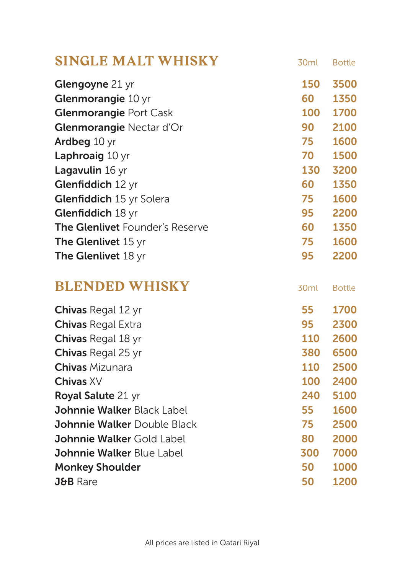| <b>SINGLE MALT WHISKY</b>          | 30ml       | <b>Bottle</b> |
|------------------------------------|------------|---------------|
| Glengoyne 21 yr                    | <b>150</b> | 3500          |
| Glenmorangie 10 yr                 | 60         | 1350          |
| <b>Glenmorangie Port Cask</b>      | 100        | 1700          |
| Glenmorangie Nectar d'Or           | 90         | 2100          |
| Ardbeg 10 yr                       | 75         | 1600          |
| Laphroaig 10 yr                    | 70         | 1500          |
| Lagavulin 16 yr                    | 130        | 3200          |
| Glenfiddich 12 yr                  | 60         | 1350          |
| Glenfiddich 15 yr Solera           | 75         | 1600          |
| Glenfiddich 18 yr                  | 95         | 2200          |
| The Glenlivet Founder's Reserve    | 60         | 1350          |
| The Glenlivet 15 yr                | 75         | 1600          |
| <b>The Glenlivet 18 yr</b>         | 95         | 2200          |
| <b>BLENDED WHISKY</b>              | 30ml       | <b>Bottle</b> |
| Chivas Regal 12 yr                 | 55         | 1700          |
| <b>Chivas Regal Extra</b>          | 95         | 2300          |
| Chivas Regal 18 yr                 | <b>110</b> | 2600          |
| Chivas Regal 25 yr                 | 380        | 6500          |
| <b>Chivas</b> Mizunara             | <b>110</b> | 2500          |
| Chivas XV                          | 100        | 2400          |
| Royal Salute 21 yr                 |            |               |
|                                    | 240        | 5100          |
| Johnnie Walker Black Label         | 55         | 1600          |
| <b>Johnnie Walker Double Black</b> | 75         | 2500          |
| Johnnie Walker Gold Label          | 80         | 2000          |
| <b>Johnnie Walker Blue Label</b>   | 300        | 7000          |
| <b>Monkey Shoulder</b>             | 50         | 1000          |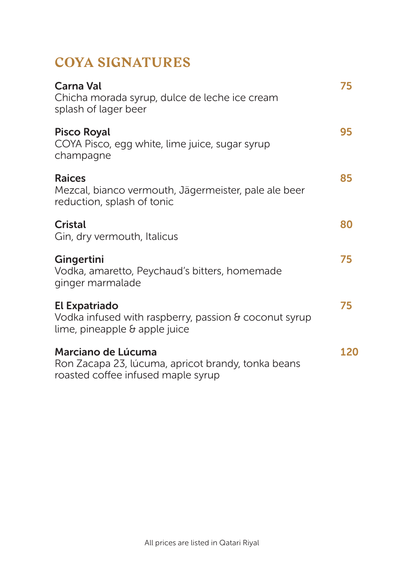### **COYA SIGNATURES**

| Carna Val<br>Chicha morada syrup, dulce de leche ice cream<br>splash of lager beer                                           | 75  |
|------------------------------------------------------------------------------------------------------------------------------|-----|
| <b>Pisco Royal</b><br>COYA Pisco, egg white, lime juice, sugar syrup<br>champagne                                            | 95  |
| <b>Raices</b><br>Mezcal, bianco vermouth, Jägermeister, pale ale beer<br>reduction, splash of tonic                          | 85  |
| <b>Cristal</b><br>Gin, dry vermouth, Italicus                                                                                | 80  |
| Gingertini<br>Vodka, amaretto, Peychaud's bitters, homemade<br>ginger marmalade                                              | 75  |
| <b>El Expatriado</b><br>Vodka infused with raspberry, passion $\theta$ coconut syrup<br>lime, pineapple $\theta$ apple juice | 75  |
| Marciano de Lúcuma<br>Ron Zacapa 23, lúcuma, apricot brandy, tonka beans<br>roasted coffee infused maple syrup               | 120 |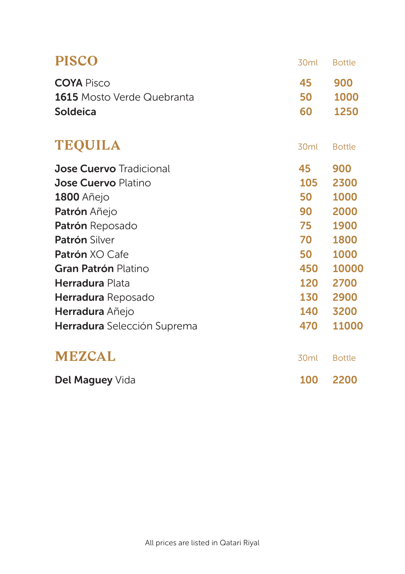| <b>PISCO</b>                                                              | 30ml           | <b>Bottle</b>       |
|---------------------------------------------------------------------------|----------------|---------------------|
| <b>COYA</b> Pisco<br><b>1615</b> Mosto Verde Quebranta<br><b>Soldeica</b> | 45<br>50<br>60 | 900<br>1000<br>1250 |
| <b>TEQUILA</b>                                                            | 30ml           | <b>Bottle</b>       |
| <b>Jose Cuervo</b> Tradicional                                            | 45             | 900                 |
| <b>Jose Cuervo Platino</b>                                                | 105            | 2300                |
| <b>1800 Añejo</b>                                                         | 50             | 1000                |
| Patrón Añejo                                                              | 90             | 2000                |
| Patrón Reposado                                                           | 75             | 1900                |
| <b>Patrón Silver</b>                                                      | 70             | 1800                |
| Patrón XO Cafe                                                            | 50             | 1000                |
| Gran Patrón Platino                                                       | 450            | 10000               |
| <b>Herradura</b> Plata                                                    | 120            | 2700                |
| Herradura Reposado                                                        | 130            | 2900                |
| Herradura Añejo                                                           | 140            | 3200                |
| Herradura Selección Suprema                                               | 470            | 11000               |
| <b>MEZCAL</b>                                                             | 30ml           | <b>Bottle</b>       |
| Del Maguey Vida                                                           | 100            | 2200                |